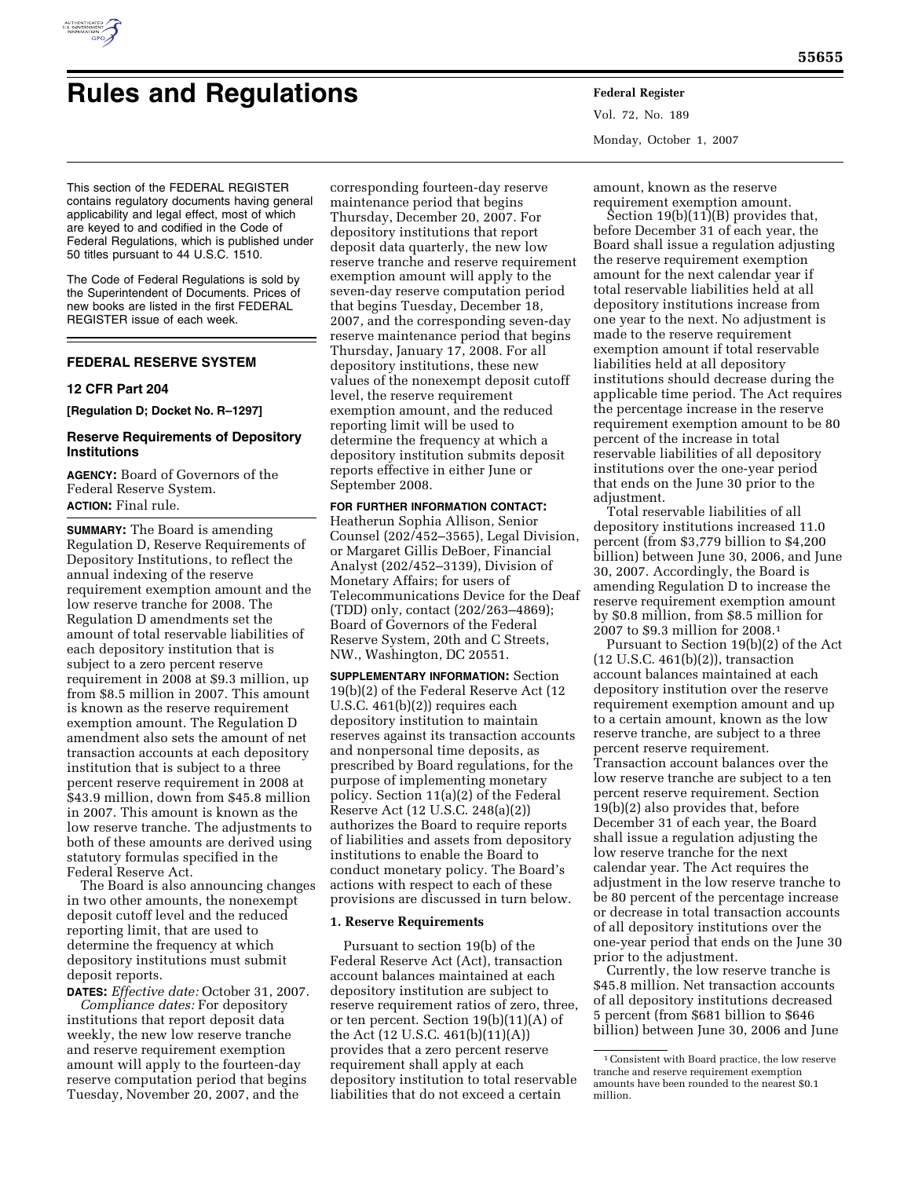

# **Rules and Regulations Federal Register**

Vol. 72, No. 189 Monday, October 1, 2007

This section of the FEDERAL REGISTER contains regulatory documents having general applicability and legal effect, most of which are keyed to and codified in the Code of Federal Regulations, which is published under 50 titles pursuant to 44 U.S.C. 1510.

The Code of Federal Regulations is sold by the Superintendent of Documents. Prices of new books are listed in the first FEDERAL REGISTER issue of each week.

# **FEDERAL RESERVE SYSTEM**

#### **12 CFR Part 204**

**[Regulation D; Docket No. R–1297]** 

## **Reserve Requirements of Depository Institutions**

**AGENCY:** Board of Governors of the Federal Reserve System. **ACTION:** Final rule.

**SUMMARY:** The Board is amending Regulation D, Reserve Requirements of Depository Institutions, to reflect the annual indexing of the reserve requirement exemption amount and the low reserve tranche for 2008. The Regulation D amendments set the amount of total reservable liabilities of each depository institution that is subject to a zero percent reserve requirement in 2008 at \$9.3 million, up from \$8.5 million in 2007. This amount is known as the reserve requirement exemption amount. The Regulation D amendment also sets the amount of net transaction accounts at each depository institution that is subject to a three percent reserve requirement in 2008 at \$43.9 million, down from \$45.8 million in 2007. This amount is known as the low reserve tranche. The adjustments to both of these amounts are derived using statutory formulas specified in the Federal Reserve Act.

The Board is also announcing changes in two other amounts, the nonexempt deposit cutoff level and the reduced reporting limit, that are used to determine the frequency at which depository institutions must submit deposit reports.

**DATES:** *Effective date:* October 31, 2007. *Compliance dates:* For depository institutions that report deposit data weekly, the new low reserve tranche and reserve requirement exemption amount will apply to the fourteen-day reserve computation period that begins Tuesday, November 20, 2007, and the

corresponding fourteen-day reserve maintenance period that begins Thursday, December 20, 2007. For depository institutions that report deposit data quarterly, the new low reserve tranche and reserve requirement exemption amount will apply to the seven-day reserve computation period that begins Tuesday, December 18, 2007, and the corresponding seven-day reserve maintenance period that begins Thursday, January 17, 2008. For all depository institutions, these new values of the nonexempt deposit cutoff level, the reserve requirement exemption amount, and the reduced reporting limit will be used to determine the frequency at which a depository institution submits deposit reports effective in either June or September 2008.

## **FOR FURTHER INFORMATION CONTACT:**

Heatherun Sophia Allison, Senior Counsel (202/452–3565), Legal Division, or Margaret Gillis DeBoer, Financial Analyst (202/452–3139), Division of Monetary Affairs; for users of Telecommunications Device for the Deaf (TDD) only, contact (202/263–4869); Board of Governors of the Federal Reserve System, 20th and C Streets, NW., Washington, DC 20551.

**SUPPLEMENTARY INFORMATION:** Section 19(b)(2) of the Federal Reserve Act (12 U.S.C. 461(b)(2)) requires each depository institution to maintain reserves against its transaction accounts and nonpersonal time deposits, as prescribed by Board regulations, for the purpose of implementing monetary policy. Section 11(a)(2) of the Federal Reserve Act (12 U.S.C. 248(a)(2)) authorizes the Board to require reports of liabilities and assets from depository institutions to enable the Board to conduct monetary policy. The Board's actions with respect to each of these provisions are discussed in turn below.

## **1. Reserve Requirements**

Pursuant to section 19(b) of the Federal Reserve Act (Act), transaction account balances maintained at each depository institution are subject to reserve requirement ratios of zero, three, or ten percent. Section 19(b)(11)(A) of the Act (12 U.S.C. 461(b)(11)(A)) provides that a zero percent reserve requirement shall apply at each depository institution to total reservable liabilities that do not exceed a certain

amount, known as the reserve requirement exemption amount.

Section  $19(b)(11)(B)$  provides that, before December 31 of each year, the Board shall issue a regulation adjusting the reserve requirement exemption amount for the next calendar year if total reservable liabilities held at all depository institutions increase from one year to the next. No adjustment is made to the reserve requirement exemption amount if total reservable liabilities held at all depository institutions should decrease during the applicable time period. The Act requires the percentage increase in the reserve requirement exemption amount to be 80 percent of the increase in total reservable liabilities of all depository institutions over the one-year period that ends on the June 30 prior to the adjustment.

Total reservable liabilities of all depository institutions increased 11.0 percent (from \$3,779 billion to \$4,200 billion) between June 30, 2006, and June 30, 2007. Accordingly, the Board is amending Regulation D to increase the reserve requirement exemption amount by \$0.8 million, from \$8.5 million for 2007 to \$9.3 million for 2008.1

Pursuant to Section 19(b)(2) of the Act (12 U.S.C. 461(b)(2)), transaction account balances maintained at each depository institution over the reserve requirement exemption amount and up to a certain amount, known as the low reserve tranche, are subject to a three percent reserve requirement. Transaction account balances over the low reserve tranche are subject to a ten percent reserve requirement. Section 19(b)(2) also provides that, before December 31 of each year, the Board shall issue a regulation adjusting the low reserve tranche for the next calendar year. The Act requires the adjustment in the low reserve tranche to be 80 percent of the percentage increase or decrease in total transaction accounts of all depository institutions over the one-year period that ends on the June 30 prior to the adjustment.

Currently, the low reserve tranche is \$45.8 million. Net transaction accounts of all depository institutions decreased 5 percent (from \$681 billion to \$646 billion) between June 30, 2006 and June

<sup>1</sup>Consistent with Board practice, the low reserve tranche and reserve requirement exemption amounts have been rounded to the nearest \$0.1 million.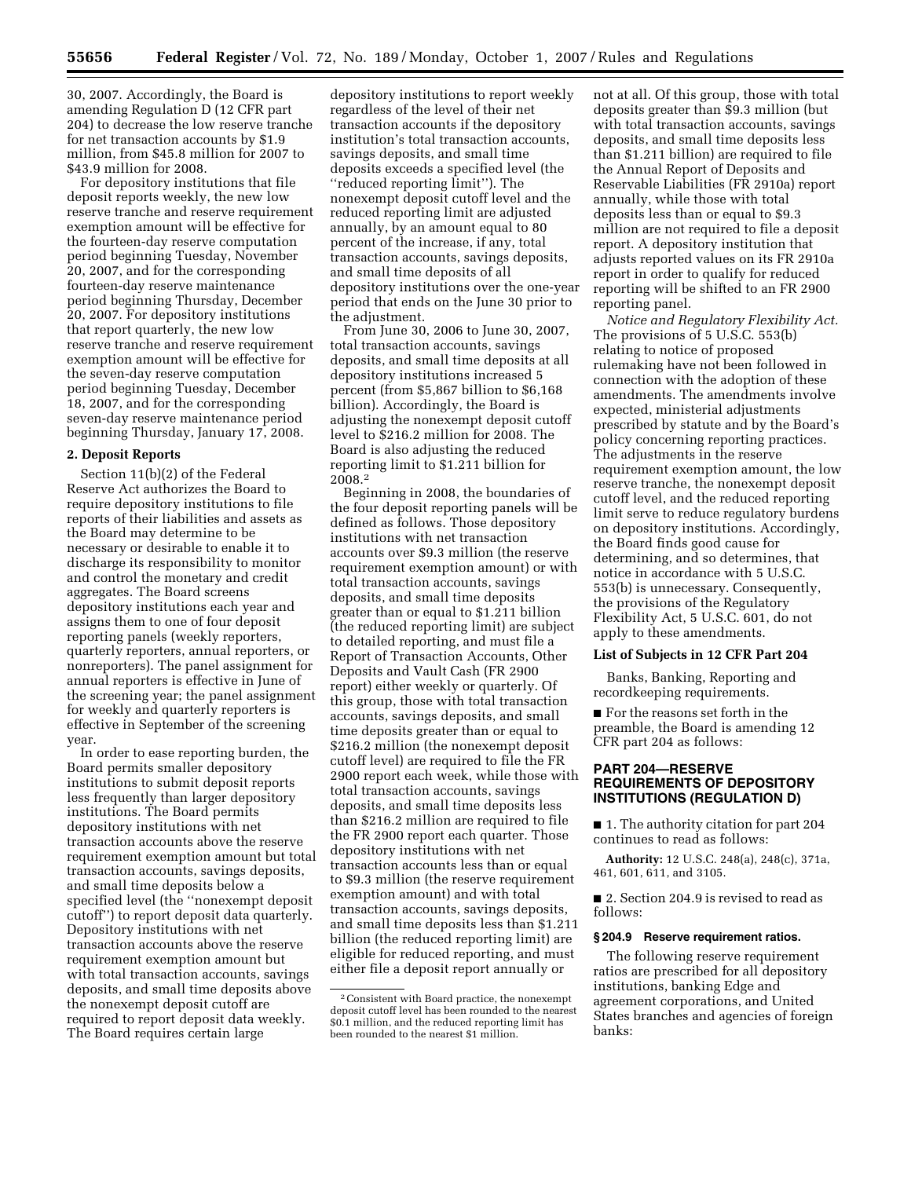30, 2007. Accordingly, the Board is amending Regulation D (12 CFR part 204) to decrease the low reserve tranche for net transaction accounts by \$1.9 million, from \$45.8 million for 2007 to \$43.9 million for 2008.

For depository institutions that file deposit reports weekly, the new low reserve tranche and reserve requirement exemption amount will be effective for the fourteen-day reserve computation period beginning Tuesday, November 20, 2007, and for the corresponding fourteen-day reserve maintenance period beginning Thursday, December 20, 2007. For depository institutions that report quarterly, the new low reserve tranche and reserve requirement exemption amount will be effective for the seven-day reserve computation period beginning Tuesday, December 18, 2007, and for the corresponding seven-day reserve maintenance period beginning Thursday, January 17, 2008.

#### **2. Deposit Reports**

Section 11(b)(2) of the Federal Reserve Act authorizes the Board to require depository institutions to file reports of their liabilities and assets as the Board may determine to be necessary or desirable to enable it to discharge its responsibility to monitor and control the monetary and credit aggregates. The Board screens depository institutions each year and assigns them to one of four deposit reporting panels (weekly reporters, quarterly reporters, annual reporters, or nonreporters). The panel assignment for annual reporters is effective in June of the screening year; the panel assignment for weekly and quarterly reporters is effective in September of the screening year.

In order to ease reporting burden, the Board permits smaller depository institutions to submit deposit reports less frequently than larger depository institutions. The Board permits depository institutions with net transaction accounts above the reserve requirement exemption amount but total transaction accounts, savings deposits, and small time deposits below a specified level (the ''nonexempt deposit cutoff'') to report deposit data quarterly. Depository institutions with net transaction accounts above the reserve requirement exemption amount but with total transaction accounts, savings deposits, and small time deposits above the nonexempt deposit cutoff are required to report deposit data weekly. The Board requires certain large

depository institutions to report weekly regardless of the level of their net transaction accounts if the depository institution's total transaction accounts, savings deposits, and small time deposits exceeds a specified level (the ''reduced reporting limit''). The nonexempt deposit cutoff level and the reduced reporting limit are adjusted annually, by an amount equal to 80 percent of the increase, if any, total transaction accounts, savings deposits, and small time deposits of all depository institutions over the one-year period that ends on the June 30 prior to the adjustment.

From June 30, 2006 to June 30, 2007, total transaction accounts, savings deposits, and small time deposits at all depository institutions increased 5 percent (from \$5,867 billion to \$6,168 billion). Accordingly, the Board is adjusting the nonexempt deposit cutoff level to \$216.2 million for 2008. The Board is also adjusting the reduced reporting limit to \$1.211 billion for 2008.2

Beginning in 2008, the boundaries of the four deposit reporting panels will be defined as follows. Those depository institutions with net transaction accounts over \$9.3 million (the reserve requirement exemption amount) or with total transaction accounts, savings deposits, and small time deposits greater than or equal to \$1.211 billion (the reduced reporting limit) are subject to detailed reporting, and must file a Report of Transaction Accounts, Other Deposits and Vault Cash (FR 2900 report) either weekly or quarterly. Of this group, those with total transaction accounts, savings deposits, and small time deposits greater than or equal to \$216.2 million (the nonexempt deposit cutoff level) are required to file the FR 2900 report each week, while those with total transaction accounts, savings deposits, and small time deposits less than \$216.2 million are required to file the FR 2900 report each quarter. Those depository institutions with net transaction accounts less than or equal to \$9.3 million (the reserve requirement exemption amount) and with total transaction accounts, savings deposits, and small time deposits less than \$1.211 billion (the reduced reporting limit) are eligible for reduced reporting, and must either file a deposit report annually or

not at all. Of this group, those with total deposits greater than \$9.3 million (but with total transaction accounts, savings deposits, and small time deposits less than \$1.211 billion) are required to file the Annual Report of Deposits and Reservable Liabilities (FR 2910a) report annually, while those with total deposits less than or equal to \$9.3 million are not required to file a deposit report. A depository institution that adjusts reported values on its FR 2910a report in order to qualify for reduced reporting will be shifted to an FR 2900 reporting panel.

*Notice and Regulatory Flexibility Act.*  The provisions of 5 U.S.C. 553(b) relating to notice of proposed rulemaking have not been followed in connection with the adoption of these amendments. The amendments involve expected, ministerial adjustments prescribed by statute and by the Board's policy concerning reporting practices. The adjustments in the reserve requirement exemption amount, the low reserve tranche, the nonexempt deposit cutoff level, and the reduced reporting limit serve to reduce regulatory burdens on depository institutions. Accordingly, the Board finds good cause for determining, and so determines, that notice in accordance with 5 U.S.C. 553(b) is unnecessary. Consequently, the provisions of the Regulatory Flexibility Act, 5 U.S.C. 601, do not apply to these amendments.

#### **List of Subjects in 12 CFR Part 204**

Banks, Banking, Reporting and recordkeeping requirements.

■ For the reasons set forth in the preamble, the Board is amending 12 CFR part 204 as follows:

# **PART 204—RESERVE REQUIREMENTS OF DEPOSITORY INSTITUTIONS (REGULATION D)**

■ 1. The authority citation for part 204 continues to read as follows:

**Authority:** 12 U.S.C. 248(a), 248(c), 371a, 461, 601, 611, and 3105.

■ 2. Section 204.9 is revised to read as follows:

#### **§ 204.9 Reserve requirement ratios.**

The following reserve requirement ratios are prescribed for all depository institutions, banking Edge and agreement corporations, and United States branches and agencies of foreign banks:

<sup>2</sup>Consistent with Board practice, the nonexempt deposit cutoff level has been rounded to the nearest \$0.1 million, and the reduced reporting limit has been rounded to the nearest \$1 million.